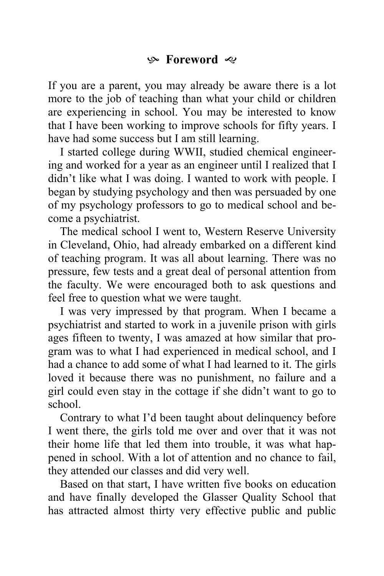If you are a parent, you may already be aware there is a lot more to the job of teaching than what your child or children are experiencing in school. You may be interested to know that I have been working to improve schools for fifty years. I have had some success but I am still learning.

I started college during WWII, studied chemical engineering and worked for a year as an engineer until I realized that I didn't like what I was doing. I wanted to work with people. I began by studying psychology and then was persuaded by one of my psychology professors to go to medical school and become a psychiatrist.

The medical school I went to, Western Reserve University in Cleveland, Ohio, had already embarked on a different kind of teaching program. It was all about learning. There was no pressure, few tests and a great deal of personal attention from the faculty. We were encouraged both to ask questions and feel free to question what we were taught.

I was very impressed by that program. When I became a psychiatrist and started to work in a juvenile prison with girls ages fifteen to twenty, I was amazed at how similar that program was to what I had experienced in medical school, and I had a chance to add some of what I had learned to it. The girls loved it because there was no punishment, no failure and a girl could even stay in the cottage if she didn't want to go to school.

Contrary to what I'd been taught about delinquency before I went there, the girls told me over and over that it was not their home life that led them into trouble, it was what happened in school. With a lot of attention and no chance to fail, they attended our classes and did very well.

Based on that start, I have written five books on education and have finally developed the Glasser Quality School that has attracted almost thirty very effective public and public